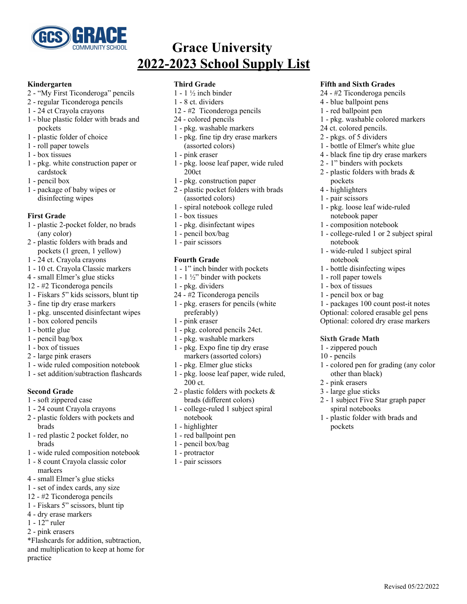

# **Grace University 2022-2023 School Supply List**

#### **Kindergarten**

- "My First Ticonderoga" pencils
- regular Ticonderoga pencils
- 24 ct Crayola crayons
- blue plastic folder with brads and pockets
- plastic folder of choice
- roll paper towels
- box tissues
- pkg. white construction paper or cardstock
- pencil box
- package of baby wipes or disinfecting wipes

### **First Grade**

- plastic 2-pocket folder, no brads (any color)
- plastic folders with brads and pockets (1 green, 1 yellow)
- 24 ct. Crayola crayons
- 10 ct. Crayola Classic markers
- small Elmer's glue sticks
- #2 Ticonderoga pencils
- Fiskars 5" kids scissors, blunt tip
- fine tip dry erase markers
- pkg. unscented disinfectant wipes
- box colored pencils
- bottle glue
- pencil bag/box
- box of tissues
- large pink erasers
- wide ruled composition notebook
- set addition/subtraction flashcards

## **Second Grade**

- soft zippered case
- 24 count Crayola crayons
- plastic folders with pockets and brads
- red plastic 2 pocket folder, no brads
- wide ruled composition notebook
- 8 count Crayola classic color markers
- small Elmer's glue sticks
- set of index cards, any size
- #2 Ticonderoga pencils
- Fiskars 5" scissors, blunt tip
- dry erase markers
- 12" ruler
- pink erasers

\*Flashcards for addition, subtraction, and multiplication to keep at home for practice

### **Third Grade**

- $1 1$  ½ inch binder
- 8 ct. dividers
- #2 Ticonderoga pencils
- colored pencils
- pkg. washable markers
- pkg. fine tip dry erase markers (assorted colors)
- pink eraser
- pkg. loose leaf paper, wide ruled 200ct
- pkg. construction paper
- plastic pocket folders with brads (assorted colors)
- spiral notebook college ruled
- box tissues
- pkg. disinfectant wipes
- pencil box/bag
- pair scissors

# **Fourth Grade**

- 1" inch binder with pockets
- 1 ½" binder with pockets
- pkg. dividers
- #2 Ticonderoga pencils
- pkg. erasers for pencils (white preferably)
- pink eraser
- pkg. colored pencils 24ct.
- pkg. washable markers
- pkg. Expo fine tip dry erase markers (assorted colors)
- pkg. Elmer glue sticks
- pkg. loose leaf paper, wide ruled, ct.
- plastic folders with pockets & brads (different colors)
- college-ruled 1 subject spiral notebook
- highlighter
- red ballpoint pen
- pencil box/bag
- protractor
- pair scissors

### **Fifth and Sixth Grades**

- #2 Ticonderoga pencils
- blue ballpoint pens
- red ballpoint pen
- pkg. washable colored markers
- ct. colored pencils.
- pkgs. of 5 dividers
- bottle of Elmer's white glue
- black fine tip dry erase markers
- 1" binders with pockets
- plastic folders with brads & pockets
- highlighters
- pair scissors
- pkg. loose leaf wide-ruled notebook paper
- composition notebook
- college-ruled 1 or 2 subject spiral notebook

 - packages 100 count post-it notes Optional: colored erasable gel pens Optional: colored dry erase markers

- colored pen for grading (any color

- 1 subject Five Star graph paper

Revised 05/22/2022

- plastic folder with brads and

- wide-ruled 1 subject spiral notebook
- bottle disinfecting wipes
- roll paper towels
- box of tissues - pencil box or bag

**Sixth Grade Math** - zippered pouch - pencils

other than black)

spiral notebooks

 - pink erasers - large glue sticks

pockets